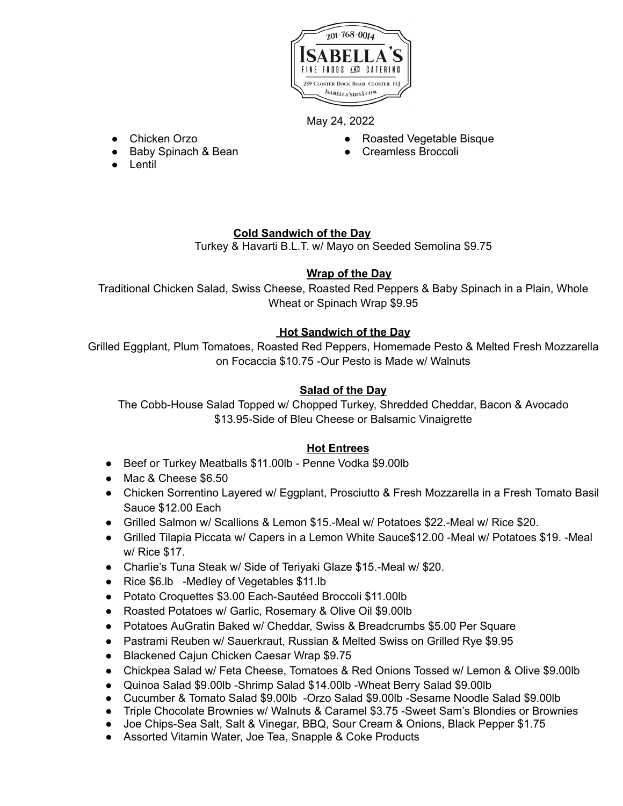

May 24, 2022

- Chicken Orzo
- Baby Spinach & Bean
- Lentil
- Roasted Vegetable Bisque
- Creamless Broccoli

# **Cold Sandwich of the Day**

Turkey & Havarti B.L.T. w/ Mayo on Seeded Semolina \$9.75

# **Wrap of the Day**

Traditional Chicken Salad, Swiss Cheese, Roasted Red Peppers & Baby Spinach in a Plain, Whole Wheat or Spinach Wrap \$9.95

# **Hot Sandwich of the Day**

Grilled Eggplant, Plum Tomatoes, Roasted Red Peppers, Homemade Pesto & Melted Fresh Mozzarella on Focaccia \$10.75 -Our Pesto is Made w/ Walnuts

## **Salad of the Day**

The Cobb-House Salad Topped w/ Chopped Turkey, Shredded Cheddar, Bacon & Avocado \$13.95-Side of Bleu Cheese or Balsamic Vinaigrette

# **Hot Entrees**

- Beef or Turkey Meatballs \$11.00lb Penne Vodka \$9.00lb
- Mac & Cheese \$6.50
- Chicken Sorrentino Layered w/ Eggplant, Prosciutto & Fresh Mozzarella in a Fresh Tomato Basil Sauce \$12.00 Each
- Grilled Salmon w/ Scallions & Lemon \$15.-Meal w/ Potatoes \$22.-Meal w/ Rice \$20.
- Grilled Tilapia Piccata w/ Capers in a Lemon White Sauce\$12.00 -Meal w/ Potatoes \$19. -Meal w/ Rice \$17.
- Charlie's Tuna Steak w/ Side of Teriyaki Glaze \$15.-Meal w/ \$20.
- Rice \$6.lb -Medley of Vegetables \$11.lb
- Potato Croquettes \$3.00 Each-Sautéed Broccoli \$11.00lb
- Roasted Potatoes w/ Garlic, Rosemary & Olive Oil \$9.00lb
- Potatoes AuGratin Baked w/ Cheddar, Swiss & Breadcrumbs \$5.00 Per Square
- Pastrami Reuben w/ Sauerkraut, Russian & Melted Swiss on Grilled Rye \$9.95
- Blackened Cajun Chicken Caesar Wrap \$9.75
- Chickpea Salad w/ Feta Cheese, Tomatoes & Red Onions Tossed w/ Lemon & Olive \$9.00lb
- Quinoa Salad \$9.00lb -Shrimp Salad \$14.00lb -Wheat Berry Salad \$9.00lb
- Cucumber & Tomato Salad \$9.00lb -Orzo Salad \$9.00lb -Sesame Noodle Salad \$9.00lb
- Triple Chocolate Brownies w/ Walnuts & Caramel \$3.75 -Sweet Sam's Blondies or Brownies
- Joe Chips-Sea Salt, Salt & Vinegar, BBQ, Sour Cream & Onions, Black Pepper \$1.75
- Assorted Vitamin Water, Joe Tea, Snapple & Coke Products